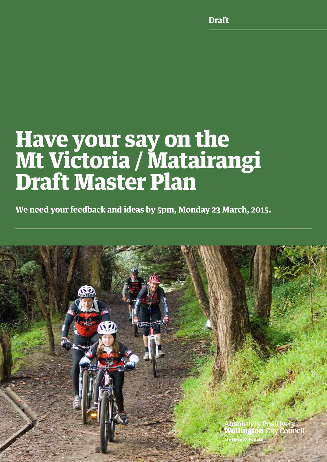# Have your say on the Mt Victoria / Matairangi Draft Master Plan

**We need your feedback and ideas by 5pm, Monday 23 March, 2015.**

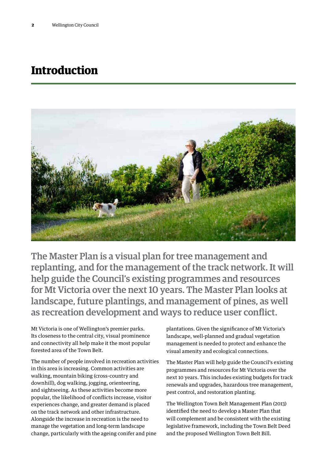## Introduction



The Master Plan is a visual plan for tree management and replanting, and for the management of the track network. It will help guide the Council's existing programmes and resources for Mt Victoria over the next 10 years. The Master Plan looks at landscape, future plantings, and management of pines, as well as recreation development and ways to reduce user conflict.

Mt Victoria is one of Wellington's premier parks. Its closeness to the central city, visual prominence and connectivity all help make it the most popular forested area of the Town Belt.

The number of people involved in recreation activities in this area is increasing. Common activities are walking, mountain biking (cross-country and downhill), dog walking, jogging, orienteering, and sightseeing. As these activities become more popular, the likelihood of conflicts increase, visitor experiences change, and greater demand is placed on the track network and other infrastructure. Alongside the increase in recreation is the need to manage the vegetation and long-term landscape change, particularly with the ageing conifer and pine

plantations. Given the significance of Mt Victoria's landscape, well-planned and gradual vegetation management is needed to protect and enhance the visual amenity and ecological connections.

The Master Plan will help guide the Council's existing programmes and resources for Mt Victoria over the next 10 years. This includes existing budgets for track renewals and upgrades, hazardous tree management, pest control, and restoration planting.

The Wellington Town Belt Management Plan (2013) identified the need to develop a Master Plan that will complement and be consistent with the existing legislative framework, including the Town Belt Deed and the proposed Wellington Town Belt Bill.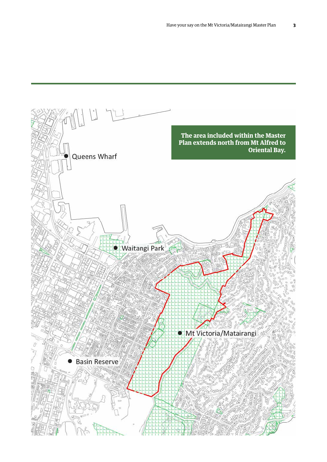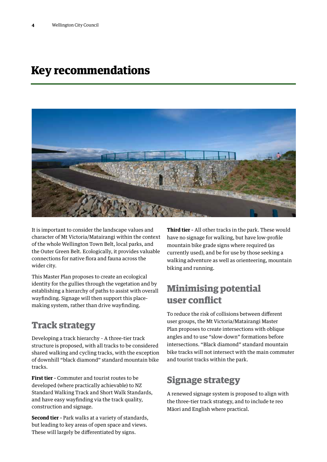# Key recommendations



It is important to consider the landscape values and character of Mt Victoria/Matairangi within the context of the whole Wellington Town Belt, local parks, and the Outer Green Belt. Ecologically, it provides valuable connections for native flora and fauna across the wider city.

This Master Plan proposes to create an ecological identity for the gullies through the vegetation and by establishing a hierarchy of paths to assist with overall wayfinding. Signage will then support this placemaking system, rather than drive wayfinding.

### **Track strategy**

Developing a track hierarchy – A three-tier track structure is proposed, with all tracks to be considered shared walking and cycling tracks, with the exception of downhill "black diamond" standard mountain bike tracks.

**First tier –** Commuter and tourist routes to be developed (where practically achievable) to NZ Standard Walking Track and Short Walk Standards, and have easy wayfinding via the track quality, construction and signage.

**Second tier –** Park walks at a variety of standards, but leading to key areas of open space and views. These will largely be differentiated by signs.

**Third tier –** All other tracks in the park. These would have no signage for walking, but have low-profile mountain bike grade signs where required (as currently used), and be for use by those seeking a walking adventure as well as orienteering, mountain biking and running.

### **Minimising potential user conflict**

To reduce the risk of collisions between different user groups, the Mt Victoria/Matairangi Master Plan proposes to create intersections with oblique angles and to use "slow-down" formations before intersections. "Black diamond" standard mountain bike tracks will not intersect with the main commuter and tourist tracks within the park.

### **Signage strategy**

A renewed signage system is proposed to align with the three-tier track strategy, and to include te reo Māori and English where practical.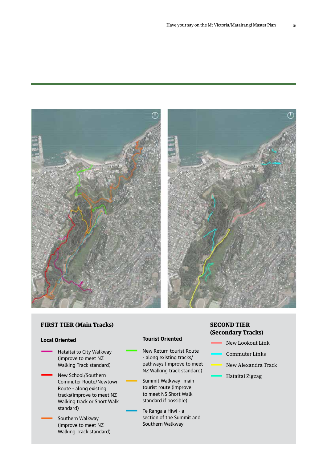

#### **FIRST TIER (Main Tracks)**

#### **Local Oriented**

- Hataitai to City Walkway (improve to meet NZ Walking Track standard)
- New School/Southern Commuter Route/Newtown Route - along existing tracks(improve to meet NZ Walking track or Short Walk standard)
- Southern Walkway (improve to meet NZ Walking Track standard)

#### **Tourist Oriented**

- New Return tourist Route - along existing tracks/ pathways (improve to meet NZ Walking track standard)
- Summit Walkway -main tourist route (improve to meet NS Short Walk standard if possible)
- Te Ranga a Hiwi a section of the Summit and Southern Walkway

#### **SECOND TIER (Secondary Tracks)**

- New Lookout Link
	- Commuter Links
	- New Alexandra Track
	- Hataitai Zigzag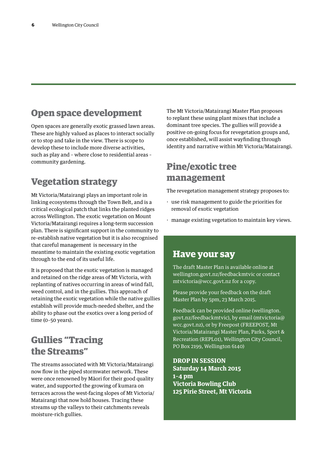### **Open space development**

Open spaces are generally exotic grassed lawn areas. These are highly valued as places to interact socially or to stop and take in the view. There is scope to develop these to include more diverse activities, such as play and – where close to residential areas – community gardening.

### **Vegetation strategy**

Mt Victoria/Matairangi plays an important role in linking ecosystems through the Town Belt, and is a critical ecological patch that links the planted ridges across Wellington. The exotic vegetation on Mount Victoria/Matairangi requires a long-term succession plan. There is significant support in the community to re-establish native vegetation but it is also recognised that careful management is necessary in the meantime to maintain the existing exotic vegetation through to the end of its useful life.

It is proposed that the exotic vegetation is managed and retained on the ridge areas of Mt Victoria, with replanting of natives occurring in areas of wind fall, weed control, and in the gullies. This approach of retaining the exotic vegetation while the native gullies establish will provide much-needed shelter, and the ability to phase out the exotics over a long period of time (0–50 years).

### **Gullies "Tracing the Streams"**

The streams associated with Mt Victoria/Matairangi now flow in the piped stormwater network. These were once renowned by Māori for their good quality water, and supported the growing of kumara on terraces across the west-facing slopes of Mt Victoria/ Matairangi that now hold houses. Tracing these streams up the valleys to their catchments reveals moisture-rich gullies.

The Mt Victoria/Matairangi Master Plan proposes to replant these using plant mixes that include a dominant tree species. The gullies will provide a positive on-going focus for revegetation groups and, once established, will assist wayfinding through identity and narrative within Mt Victoria/Matairangi.

### **Pine/exotic tree management**

The revegetation management strategy proposes to:

- · use risk management to guide the priorities for removal of exotic vegetation
- · manage existing vegetation to maintain key views.

### **Have your say**

The draft Master Plan is available online at wellington.govt.nz/feedbackmtvic or contact mtvictoria@wcc.govt.nz for a copy.

Please provide your feedback on the draft Master Plan by 5pm, 23 March 2015.

Feedback can be provided online (wellington. govt.nz/feedbackmtvic), by email (mtvictoria@ wcc.govt.nz), or by Freepost (FREEPOST, Mt Victoria/Matairangi Master Plan, Parks, Sport & Recreation (REPL01), Wellington City Council, PO Box 2199, Wellington 6140)

**DROP IN SESSION Saturday 14 March 2015 1–4 pm Victoria Bowling Club 125 Pirie Street, Mt Victoria**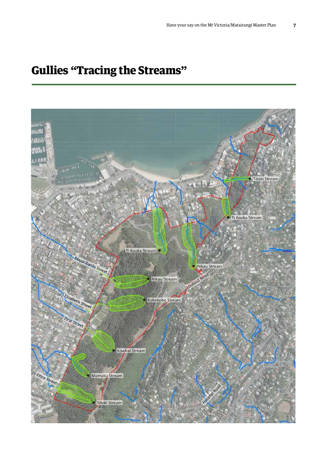# Gullies "Tracing the Streams"

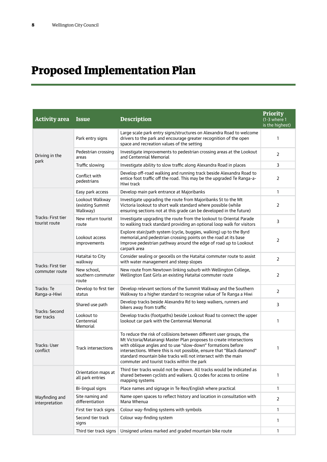# Proposed Implementation Plan

| <b>Activity area</b>                 | <b>Issue</b>                                    | <b>Description</b>                                                                                                                                                                                                                                                                                                                                                                                    | <b>Priority</b><br>$(1-3$ where 1<br>is the highest) |
|--------------------------------------|-------------------------------------------------|-------------------------------------------------------------------------------------------------------------------------------------------------------------------------------------------------------------------------------------------------------------------------------------------------------------------------------------------------------------------------------------------------------|------------------------------------------------------|
| Driving in the<br>park               | Park entry signs                                | Large scale park entry signs/structures on Alexandra Road to welcome<br>drivers to the park and encourage greater recognition of the open<br>space and recreation values of the setting                                                                                                                                                                                                               | 1                                                    |
|                                      | Pedestrian crossing<br>areas                    | Investigate improvements to pedestrian crossing areas at the Lookout<br>and Centennial Memorial                                                                                                                                                                                                                                                                                                       | 2                                                    |
|                                      | Traffic slowing                                 | Investigate ability to slow traffic along Alexandra Road in places                                                                                                                                                                                                                                                                                                                                    | 3                                                    |
|                                      | Conflict with<br>pedestrians                    | Develop off-road walking and running track beside Alexandra Road to<br>entice foot traffic off the road. This may be the upgraded Te Ranga-a-<br>Hiwi track                                                                                                                                                                                                                                           | 2                                                    |
| Tracks: First tier<br>tourist route  | Easy park access                                | Develop main park entrance at Majoribanks                                                                                                                                                                                                                                                                                                                                                             | 1                                                    |
|                                      | Lookout Walkway<br>(existing Summit<br>Walkway) | Investigate upgrading the route from Majoribanks St to the Mt<br>Victoria lookout to short walk standard where possible (while<br>ensuring sections not at this grade can be developed in the future)                                                                                                                                                                                                 | 2                                                    |
|                                      | New return tourist<br>route                     | Investigate upgrading the route from the lookout to Oriental Parade<br>to walking track standard providing an optional loop walk for visitors                                                                                                                                                                                                                                                         | 3                                                    |
|                                      | Lookout access<br>improvements                  | Explore stair/path system (cycle, buggies, walking) up to the Byrd<br>memorial, and pedestrian crossing points on the road at its base<br>Improve pedestrian pathway around the edge of road up to Lookout<br>carpark area                                                                                                                                                                            | 2                                                    |
|                                      | Hataitai to City<br>walkway                     | Consider sealing or geocells on the Hataitai commuter route to assist<br>with water management and steep slopes                                                                                                                                                                                                                                                                                       | 2                                                    |
| Tracks: First tier<br>commuter route | New school,<br>southern commuter<br>route       | New route from Newtown linking suburb with Wellington College,<br>Wellington East Girls an existing Hataitai commuter route                                                                                                                                                                                                                                                                           | 2                                                    |
| Tracks: Te<br>Ranga-a-Hiwi           | Develop to first tier<br>status                 | Develop relevant sections of the Summit Walkway and the Southern<br>Walkway to a higher standard to recognise value of Te Ranga a Hiwi                                                                                                                                                                                                                                                                | 2                                                    |
| Tracks: Second<br>tier tracks        | Shared use path                                 | Develop tracks beside Alexandra Rd to keep walkers, runners and<br>bikers away from traffic                                                                                                                                                                                                                                                                                                           | 3                                                    |
|                                      | Lookout to<br>Centennial<br>Memorial            | Develop tracks (footpaths) beside Lookout Road to connect the upper<br>lookout car park with the Centennial Memorial                                                                                                                                                                                                                                                                                  | 1                                                    |
| Tracks: User<br>conflict             | Track intersections                             | To reduce the risk of collisions between different user groups, the<br>Mt Victoria/Matairangi Master Plan proposes to create intersections<br>with oblique angles and to use "slow-down" formations before<br>intersections. Where this is not possible, ensure that "Black diamond"<br>standard mountain bike tracks will not intersect with the main<br>commuter and tourist tracks within the park | 1                                                    |
| Wayfinding and<br>interpretation     | Orientation maps at<br>all park entries         | Third tier tracks would not be shown. All tracks would be indicated as<br>shared between cyclists and walkers. Q codes for access to online<br>mapping systems                                                                                                                                                                                                                                        | 1                                                    |
|                                      | Bi-lingual signs                                | Place names and signage in Te Reo/English where practical                                                                                                                                                                                                                                                                                                                                             | 1                                                    |
|                                      | Site naming and<br>differentiation              | Name open spaces to reflect history and location in consultation with<br>Mana Whenua                                                                                                                                                                                                                                                                                                                  | 2                                                    |
|                                      | First tier track signs                          | Colour way-finding systems with symbols                                                                                                                                                                                                                                                                                                                                                               | 1                                                    |
|                                      | Second tier track<br>signs                      | Colour way-finding system                                                                                                                                                                                                                                                                                                                                                                             | 1                                                    |
|                                      | Third tier track signs                          | Unsigned unless marked and graded mountain bike route                                                                                                                                                                                                                                                                                                                                                 | 1                                                    |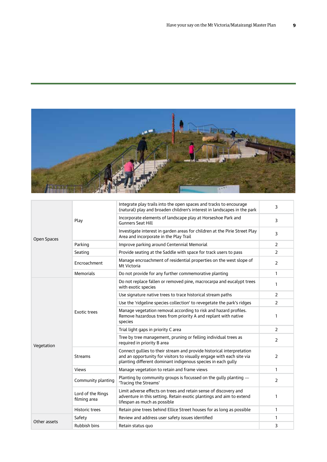

| Open Spaces  | Play                              | Integrate play trails into the open spaces and tracks to encourage<br>(natural) play and broaden children's interest in landscapes in the park                                                                 | 3              |
|--------------|-----------------------------------|----------------------------------------------------------------------------------------------------------------------------------------------------------------------------------------------------------------|----------------|
|              |                                   | Incorporate elements of landscape play at Horseshoe Park and<br><b>Gunners Seat Hill</b>                                                                                                                       | 3              |
|              |                                   | Investigate interest in garden areas for children at the Pirie Street Play<br>Area and incorporate in the Play Trail                                                                                           | 3              |
|              | Parking                           | Improve parking around Centennial Memorial                                                                                                                                                                     | $\overline{2}$ |
|              | Seating                           | Provide seating at the Saddle with space for track users to pass                                                                                                                                               | 2              |
|              | Encroachment                      | Manage encroachment of residential properties on the west slope of<br>Mt Victoria                                                                                                                              | 2              |
|              | <b>Memorials</b>                  | Do not provide for any further commemorative planting                                                                                                                                                          | 1              |
|              | <b>Exotic trees</b>               | Do not replace fallen or removed pine, macrocarpa and eucalypt trees<br>with exotic species                                                                                                                    | 1              |
|              |                                   | Use signature native trees to trace historical stream paths                                                                                                                                                    | $\overline{2}$ |
|              |                                   | Use the 'ridgeline species collection' to revegetate the park's ridges                                                                                                                                         | 2              |
| Vegetation   |                                   | Manage vegetation removal according to risk and hazard profiles.<br>Remove hazardous trees from priority A and replant with native<br>species                                                                  | 1              |
|              |                                   | Trial light gaps in priority C area                                                                                                                                                                            | 2              |
|              |                                   | Tree by tree management, pruning or felling individual trees as<br>required in priority B area                                                                                                                 | 2              |
|              | <b>Streams</b>                    | Connect gullies to their stream and provide historical interpretation<br>and an opportunity for visitors to visually engage with each site via<br>planting different dominant indigenous species in each gully | $\overline{2}$ |
|              | <b>Views</b>                      | Manage vegetation to retain and frame views                                                                                                                                                                    | 1              |
|              | Community planting                | Planting by community groups is focussed on the gully planting $-$<br>'Tracing the Streams'                                                                                                                    | 2              |
|              | Lord of the Rings<br>filming area | Limit adverse effects on trees and retain sense of discovery and<br>adventure in this setting. Retain exotic plantings and aim to extend<br>lifespan as much as possible                                       | 1              |
|              | <b>Historic trees</b>             | Retain pine trees behind Ellice Street houses for as long as possible                                                                                                                                          | $\mathbf{1}$   |
| Other assets | Safety                            | Review and address user safety issues identified                                                                                                                                                               | 1              |
|              | <b>Rubbish bins</b>               | Retain status quo                                                                                                                                                                                              | 3              |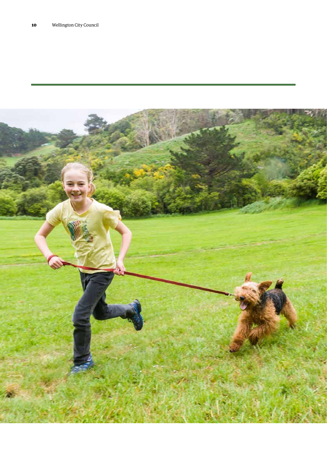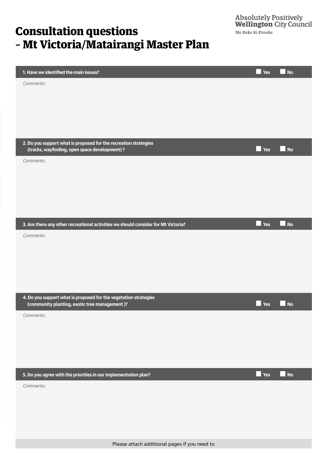# Consultation questions – Mt Victoria/Matairangi Master Plan

| 1. Have we identified the main issues?                                                                            | <b>Yes</b>         | No                          |
|-------------------------------------------------------------------------------------------------------------------|--------------------|-----------------------------|
| Comments:                                                                                                         |                    |                             |
|                                                                                                                   |                    |                             |
|                                                                                                                   |                    |                             |
|                                                                                                                   |                    |                             |
|                                                                                                                   |                    |                             |
| 2. Do you support what is proposed for the recreation strategies<br>(tracks, wayfinding, open space development)? | $\blacksquare$ Yes | $\blacksquare$ No           |
| Comments:                                                                                                         |                    |                             |
|                                                                                                                   |                    |                             |
|                                                                                                                   |                    |                             |
|                                                                                                                   |                    |                             |
|                                                                                                                   |                    |                             |
| 3. Are there any other recreational activities we should consider for Mt Victoria?                                | $\mathsf{I}$ Yes   | $\overline{\phantom{a}}$ No |
| Comments:                                                                                                         |                    |                             |
|                                                                                                                   |                    |                             |
|                                                                                                                   |                    |                             |
|                                                                                                                   |                    |                             |
|                                                                                                                   |                    |                             |
| 4. Do you support what is proposed for the vegetation strategies<br>(community planting, exotic tree management)? | $\Box$ Yes         | $\blacksquare$ No           |
| Comments:                                                                                                         |                    |                             |
|                                                                                                                   |                    |                             |
|                                                                                                                   |                    |                             |
|                                                                                                                   |                    |                             |
|                                                                                                                   |                    |                             |
| 5. Do you agree with the priorities in our implementation plan?                                                   | $\blacksquare$ Yes | $\overline{\phantom{a}}$ No |
| Comments:                                                                                                         |                    |                             |
|                                                                                                                   |                    |                             |
|                                                                                                                   |                    |                             |
|                                                                                                                   |                    |                             |
| Please attach additional pages if you need to                                                                     |                    |                             |